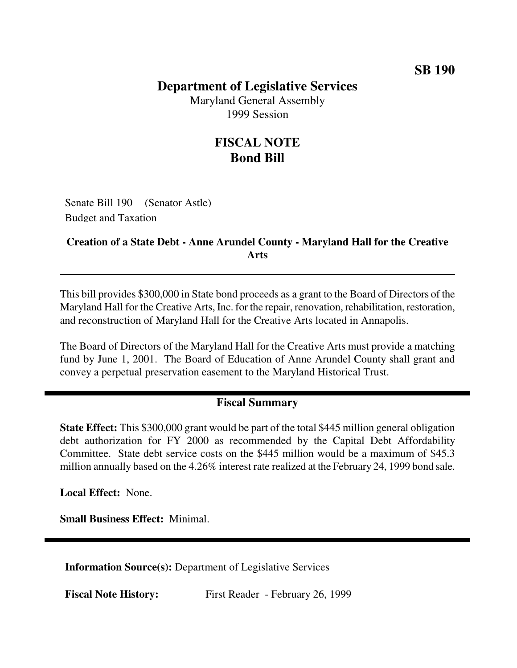## **Department of Legislative Services**

Maryland General Assembly 1999 Session

## **FISCAL NOTE Bond Bill**

Senate Bill 190 (Senator Astle) Budget and Taxation

## **Creation of a State Debt - Anne Arundel County - Maryland Hall for the Creative Arts**

This bill provides \$300,000 in State bond proceeds as a grant to the Board of Directors of the Maryland Hall for the Creative Arts, Inc. for the repair, renovation, rehabilitation, restoration, and reconstruction of Maryland Hall for the Creative Arts located in Annapolis.

The Board of Directors of the Maryland Hall for the Creative Arts must provide a matching fund by June 1, 2001. The Board of Education of Anne Arundel County shall grant and convey a perpetual preservation easement to the Maryland Historical Trust.

## **Fiscal Summary**

**State Effect:** This \$300,000 grant would be part of the total \$445 million general obligation debt authorization for FY 2000 as recommended by the Capital Debt Affordability Committee. State debt service costs on the \$445 million would be a maximum of \$45.3 million annually based on the 4.26% interest rate realized at the February 24, 1999 bond sale.

**Local Effect:** None.

**Small Business Effect:** Minimal.

**Information Source(s):** Department of Legislative Services

**Fiscal Note History:** First Reader - February 26, 1999